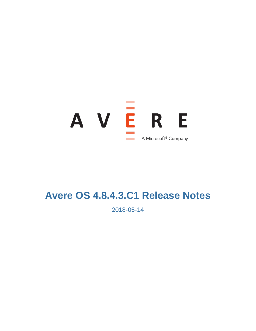

# **Avere OS 4.8.4.3.C1 Release Notes**

2018-05-14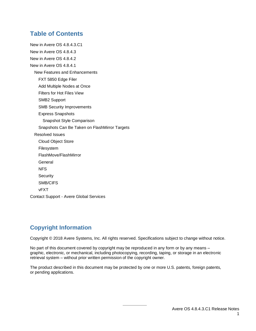# **Table of Contents**

[New in Avere OS 4.8.4.3.C1](#page-2-0) [New in Avere OS 4.8.4.3](#page-2-1) [New in Avere OS 4.8.4.2](#page-2-2) [New in Avere OS 4.8.4.1](#page-2-3) [New Features and Enhancements](#page-2-4) [FXT 5850 Edge Filer](#page-2-5) [Add Multiple Nodes at Once](#page-3-0) [Filters for Hot Files View](#page-3-1) [SMB2 Support](#page-3-2) [SMB Security Improvements](#page-3-3) [Express Snapshots](#page-4-0) [Snapshot Style Comparison](#page-4-1) [Snapshots Can Be Taken on FlashMirror Targets](#page-5-0) [Resolved Issues](#page-5-1) [Cloud Object Store](#page-5-2) [Filesystem](#page-6-0) [FlashMove/FlashMirror](#page-7-0) [General](#page-8-0) [NFS](#page-9-0) **[Security](#page-10-0)** [SMB/CIFS](#page-10-1) [vFXT](#page-10-2) Contact Support - [Avere Global Services](#page-10-3)

# **Copyright Information**

Copyright © 2018 Avere Systems, Inc. All rights reserved. Specifications subject to change without notice.

No part of this document covered by copyright may be reproduced in any form or by any means – graphic, electronic, or mechanical, including photocopying, recording, taping, or storage in an electronic retrieval system – without prior written permission of the copyright owner.

The product described in this document may be protected by one or more U.S. patents, foreign patents, or pending applications.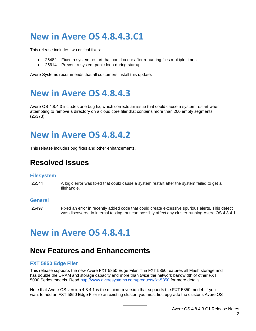# <span id="page-2-0"></span>**New in Avere OS 4.8.4.3.C1**

This release includes two critical fixes:

- 25482 Fixed a system restart that could occur after renaming files multiple times
- 25614 Prevent a system panic loop during startup

<span id="page-2-1"></span>Avere Systems recommends that all customers install this update.

# **New in Avere OS 4.8.4.3**

Avere OS 4.8.4.3 includes one bug fix, which corrects an issue that could cause a system restart when attempting to remove a directory on a cloud core filer that contains more than 200 empty segments. (25373)

# <span id="page-2-2"></span>**New in Avere OS 4.8.4.2**

This release includes bug fixes and other enhancements.

# **Resolved Issues**

## **Filesystem**

25544 A logic error was fixed that could cause a system restart after the system failed to get a filehandle.

## **General**

<span id="page-2-3"></span>25497 Fixed an error in recently added code that could create excessive spurious alerts. This defect was discovered in internal testing, but can possibly affect any cluster running Avere OS 4.8.4.1.

# **New in Avere OS 4.8.4.1**

# <span id="page-2-4"></span>**New Features and Enhancements**

# <span id="page-2-5"></span>**FXT 5850 Edge Filer**

This release supports the new Avere FXT 5850 Edge Filer. The FXT 5850 features all Flash storage and has double the DRAM and storage capacity and more than twice the network bandwidth of other FXT 5000 Series models. Read<http://www.averesystems.com/products/fxt-5850> for more details.

Note that Avere OS version 4.8.4.1 is the minimum version that supports the FXT 5850 model. If you want to add an FXT 5850 Edge Filer to an existing cluster, you must first upgrade the cluster's Avere OS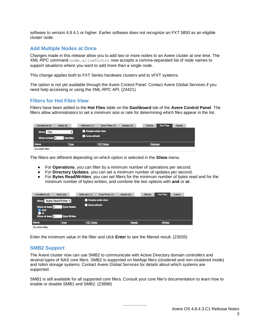software to version 4.8.4.1 or higher. Earlier software does not recognize an FXT 5850 as an eligible cluster node.

# <span id="page-3-0"></span>**Add Multiple Nodes at Once**

Changes made in this release allow you to add two or more nodes to an Avere cluster at one time. The XML-RPC command node.allowToJoin now accepts a comma-separated list of node names to support situations where you want to add more than a single node.

This change applies both to FXT Series hardware clusters and to vFXT systems.

The option is not yet available through the Avere Control Panel. Contact Avere Global Services if you need help accessing or using the XML-RPC API. (24421)

# <span id="page-3-1"></span>**Filters for Hot Files View**

Filters have been added to the **Hot Files** table on the **Dashboard** tab of the **Avere Control Panel**. The filters allow administrators to set a minimum size or rate for determining which files appear in the list.

| Conditions (0)<br>Alerts (0) | VServers (1)            | Core Filers (1)<br>Nodes (4) | <b>Hot Files</b><br><b>Clients</b> | Cache |
|------------------------------|-------------------------|------------------------------|------------------------------------|-------|
| Ops<br><b>Show</b>           | Cluster-wide view       |                              |                                    |       |
| Show at least 0              | Auto-refresh<br>Ops/Sec |                              |                                    |       |
| <b>Name</b>                  | <b>Type</b>             | <b>FXT Node</b>              | Ops/sec                            |       |
| No active files              |                         |                              |                                    |       |

The filters are different depending on which option is selected in the **Show** menu.

- For **Operations**, you can filter by a minimum number of operations per second.
- For **Directory Updates**, you can set a minimum number of updates per second.
- For **Bytes Read/Written**, you can set filters for the minimum number of bytes read and for the minimum number of bytes written, and combine the two options with **and** or **or**.

| Conditions (0)                                                  | Alerts (0)                              | VServers (1)    | Core Filers (1)   | Nodes (4) | <b>Clients</b> | <b>Hot Files</b> | Cache |
|-----------------------------------------------------------------|-----------------------------------------|-----------------|-------------------|-----------|----------------|------------------|-------|
| Bytes Read/Written $\div$<br><b>Show</b>                        |                                         |                 | Cluster-wide view |           |                |                  |       |
| Show at least 0<br><b>and</b><br><b>D</b> or<br>Show at least 0 | <b>Byte Reads</b><br><b>Byte Writes</b> | Auto-refresh    |                   |           |                |                  |       |
| <b>Name</b>                                                     | <b>Type</b>                             | <b>FXT Node</b> |                   | Reads     |                | <b>Writes</b>    |       |
| No active files                                                 |                                         |                 |                   |           |                |                  |       |

<span id="page-3-2"></span>Enter the minimum value in the filter and click **Enter** to see the filtered result. (23555)

## **SMB2 Support**

The Avere cluster now can use SMB2 to communicate with Active Directory domain controllers and several types of NAS core filers. SMB2 is supported on NetApp filers (clustered and non-clustered mode) and Isilon storage systems. Contact Avere Global Services for details about which systems are supported.

<span id="page-3-3"></span>SMB1 is still available for all supported core filers. Consult your core filer's documentation to learn how to enable or disable SMB1 and SMB2. (23898)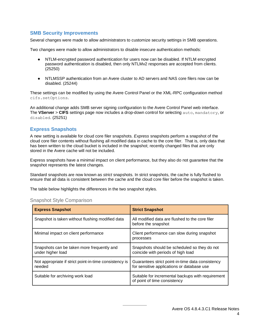# **SMB Security Improvements**

Several changes were made to allow administrators to customize security settings in SMB operations.

Two changes were made to allow administrators to disable insecure authentication methods:

- NTLM-encrypted password authentication for users now can be disabled. If NTLM encrypted password authentication is disabled, then only NTLMv2 responses are accepted from clients. (25250)
- NTLMSSP authentication from an Avere cluster to AD servers and NAS core filers now can be disabled. (25244)

These settings can be modified by using the Avere Control Panel or the XML-RPC configuration method cifs.setOptions.

An additional change adds SMB server signing configuration to the Avere Control Panel web interface. The **VServer** > **CIFS** settings page now includes a drop-down control for selecting auto, mandatory, or disabled. (25251)

# <span id="page-4-0"></span>**Express Snapshots**

A new setting is available for cloud core filer snapshots. *Express* snapshots perform a snapshot of the cloud core filer contents without flushing all modified data in cache to the core filer. That is, only data that has been written to the cloud bucket is included in the snapshot; recently changed files that are only stored in the Avere cache will not be included.

Express snapshots have a minimal impact on client performance, but they also do not guarantee that the snapshot represents the latest changes.

Standard snapshots are now known as *strict* snapshots. In strict snapshots, the cache is fully flushed to ensure that all data is consistent between the cache and the cloud core filer before the snapshot is taken.

<span id="page-4-1"></span>The table below highlights the differences in the two snapshot styles.

| <b>Express Snapshot</b>                                          | <b>Strict Snapshot</b>                                                                         |
|------------------------------------------------------------------|------------------------------------------------------------------------------------------------|
| Snapshot is taken without flushing modified data                 | All modified data are flushed to the core filer<br>before the snapshot                         |
| Minimal impact on client performance                             | Client performance can slow during snapshot<br>processes                                       |
| Snapshots can be taken more frequently and<br>under higher load  | Snapshots should be scheduled so they do not<br>coincide with periods of high load             |
| Not appropriate if strict point-in-time consistency is<br>needed | Guarantees strict point-in-time data consistency<br>for sensitive applications or database use |
| Suitable for archiving work load                                 | Suitable for incremental backups with requirement<br>of point of time consistency              |

## Snapshot Style Comparison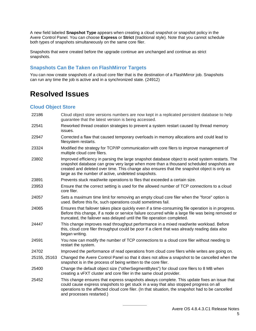A new field labeled **Snapshot Type** appears when creating a cloud snapshot or snapshot policy in the Avere Control Panel. You can choose **Express** or **Strict** (traditional style). Note that you cannot schedule both types of snapshots simultaneously on the same core filer.

Snapshots that were created before the upgrade continue are unchanged and continue as strict snapshots.

# <span id="page-5-0"></span>**Snapshots Can Be Taken on FlashMirror Targets**

You can now create snapshots of a cloud core filer that is the destination of a FlashMirror job. Snapshots can run any time the job is active and in a synchronized state. (24912)

# <span id="page-5-1"></span>**Resolved Issues**

## <span id="page-5-2"></span>**Cloud Object Store**

- 22186 Cloud object store versions numbers are now kept in a replicated persistent database to help guarantee that the latest version is being accessed.
- 22541 Reworked thread creation strategies to prevent a system restart caused by thread memory issues.
- 22947 Corrected a flaw that caused temporary overloads in memory allocations and could lead to filesystem restarts.
- 23324 Modified the strategy for TCP/IP communication with core filers to improve management of multiple cloud core filers.
- 23802 Improved efficiency in parsing the large snapshot database object to avoid system restarts. The snapshot database can grow very large when more than a thousand scheduled snapshots are created and deleted over time. This change also ensures that the snapshot object is only as large as the number of active, undeleted snapshots.
- 23891 Prevents stuck read/write operations to files that exceeded a certain size.
- 23953 Ensure that the correct setting is used for the allowed number of TCP connections to a cloud core filer.
- 24057 Sets a maximum time limit for removing an empty cloud core filer when the "force" option is used. Before this fix, such operations could sometimes fail.
- 24065 Ensures that failover takes place quickly even if a time-consuming file operation is in progress. Before this change, if a node or service failure occurred while a large file was being removed or truncated, the failover was delayed until the file operation completed.
- 24447 This change improves read throughput performance in a mixed read/write workload. Before this, cloud core filer throughput could be poor if a client that was already reading data also began writing.
- 24591 You now can modify the number of TCP connections to a cloud core filer without needing to restart the system.
- 24702 Improved the performance of read operations from cloud core filers while writes are going on.
- 25155, 25163 Changed the Avere Control Panel so that it does not allow a snapshot to be cancelled when the snapshot is in the process of being written to the core filer.
- 25400 Change the default object size ("otherSegmentBytes") for cloud core filers to 8 MB when creating a vFXT cluster and core filer in the same cloud provider.
- 25452 This change ensures that express snapshots always complete. This update fixes an issue that could cause express snapshots to get stuck in a way that also stopped progress on all operations to the affected cloud core filer. (In that situation, the snapshot had to be cancelled and processes restarted.)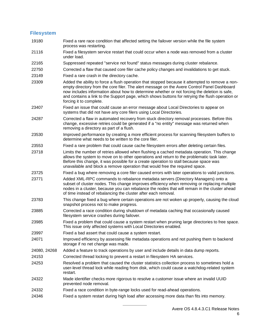## <span id="page-6-0"></span>**Filesystem**

- 19180 Fixed a rare race condition that affected setting the failover version while the file system process was restarting.
- 21116 Fixed a filesystem service restart that could occur when a node was removed from a cluster under load.
- 22165 Suppressed repeated "service not found" status messages during cluster rebalance.
- 22750 Corrected a flaw that caused core filer cache policy changes and invalidations to get stuck.
- 23149 Fixed a rare crash in the directory cache.
- 23309 Added the ability to force a flush operation that stopped because it attempted to remove a nonempty directory from the core filer. The alert message on the Avere Control Panel Dashboard now includes information about how to determine whether or not forcing the deletion is safe, and contains a link to the Support page, which shows buttons for retrying the flush operation or forcing it to complete.
- 23407 Fixed an issue that could cause an error message about Local Directories to appear on systems that did not have any core filers using Local Directories.
- 24287 Corrected a flaw in automated recovery from stuck directory removal processes. Before this change, excessive retries could be generated if a "no entity" message was returned when removing a directory as part of a flush.
- 23530 Improved performance by creating a more efficient process for scanning filesystem buffers to determine what needs to be written to the core filer.
- 23553 Fixed a rare problem that could cause cache filesystem errors after deleting certain files.
- 23718 Limits the number of retries allowed when flushing a cached metadata operation. This change allows the system to move on to other operations and return to the problematic task later. Before this change, it was possible for a create operation to stall because space was unavailable and block a remove operation that would free the required space.
- 23725 Fixed a bug where removing a core filer caused errors with later operations to valid junctions.
- 23771 Added XML-RPC commands to rebalance metadata servers (Directory Managers) onto a subset of cluster nodes. This change improves efficiency when removing or replacing multiple nodes in a cluster, because you can rebalance the nodes that will remain in the cluster ahead of time instead of rebalancing the cluster after each removal.
- 23783 This change fixed a bug where certain operations are not woken up properly, causing the cloud snapshot process not to make progress.
- 23885 Corrected a race condition during shutdown of metadata caching that occasionally caused filesystem service crashes during failover.
- 23985 Fixed a problem that could cause a system restart when pruning large directories to free space. This issue only affected systems with Local Directories enabled.
- 23997 Fixed a bad assert that could cause a system restart.
- 24071 Improved efficiency by assessing file metadata operations and not pushing them to backend storage if no net change was made.
- 24080, 24268 Added a feature to track operations by user and include details in data dump reports.
- 24153 Corrected thread locking to prevent a restart in filesystem HA services.
- 24253 Resolved a problem that caused the cluster statistics collection process to sometimes hold a user-level thread lock while reading from disk, which could cause a watchdog-related system restart.
- 24322 Made identifier checks more rigorous to resolve a customer issue where an invalid UUID prevented node removal.
- 24332 Fixed a race condition in byte-range locks used for read-ahead operations.
- 24346 Fixed a system restart during high load after accessing more data than fits into memory.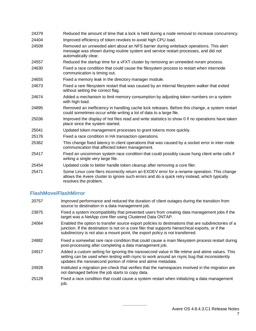| 24379 | Reduced the amount of time that a lock is held during a node removal to increase concurrency.                                                                                                        |
|-------|------------------------------------------------------------------------------------------------------------------------------------------------------------------------------------------------------|
| 24404 | Improved efficiency of token revokes to avoid high CPU load.                                                                                                                                         |
| 24509 | Removed an unneeded alert about an NFS barrier during writeback operations. This alert<br>message was shown during routine system and service restart processes, and did not<br>automatically clear. |
| 24557 | Reduced the startup time for a vFXT cluster by removing an unneeded nvram process.                                                                                                                   |
| 24630 | Fixed a race condition that could cause the filesystem process to restart when internode<br>communication is timing out.                                                                             |
| 24655 | Fixed a memory leak in the directory manager module.                                                                                                                                                 |
| 24673 | Fixed a rare filesystem restart that was caused by an internal filesystem walker that exited<br>without setting the correct flag.                                                                    |
| 24674 | Added a mechanism to limit memory consumption by adjusting token numbers on a system<br>with high load.                                                                                              |
| 24895 | Removed an inefficiency in handling cache lock releases. Before this change, a system restart<br>could sometimes occur while writing a lot of data to a large file.                                  |
| 25036 | Improved the display of hot files read and write statistics to show 0 if no operations have taken<br>place since the system started.                                                                 |
| 25041 | Updated token management processes to grant tokens more quickly.                                                                                                                                     |
| 25176 | Fixed a race condition in HA transaction operations.                                                                                                                                                 |
| 25362 | This change fixed latency in client operations that was caused by a socket error in inter-node<br>communication that affected token management.                                                      |
| 25417 | Fixed an uncommon system race condition that could possibly cause hung client write calls if<br>writing a single very large file.                                                                    |
| 25454 | Updated code to better handle token cleanup after removing a core filer.                                                                                                                             |
| 25471 | Some Linux core filers incorrectly return an EXDEV error for a rename operation. This change<br>allows the Avere cluster to ignore such errors and do a quick retry instead, which typically         |

## <span id="page-7-0"></span>**FlashMove/FlashMirror**

resolves the problem.

- 20757 Improved performance and reduced the duration of client outages during the transition from source to destination in a data management job.
- 23875 Fixed a system incompatibility that prevented users from creating data management jobs if the target was a NetApp core filer using Clustered Data ONTAP.
- 24064 Enabled the option to transfer source export policies to destinations that are subdirectories of a junction. If the destination is not on a core filer that supports hierarchical exports, or if the subdirectory is not also a mount point, the export policy is not transferred.
- 24882 Fixed a somewhat rare race condition that could cause a main filesystem process restart during post-processing after completing a data management job.
- 24917 Added a custom setting for ignoring the nanosecond value in file mtime and atime values. This setting can be used when testing with rsync to work around an rsync bug that inconsistently updates the nanosecond portion of mtime and atime metadata.
- 24928 Instituted a migration pre-check that verifies that the namespaces involved in the migration are not damaged before the job starts to copy data.
- 25129 Fixed a race condition that could cause a system restart when initializing a data management iob.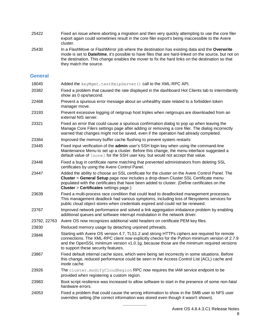- 25422 Fixed an issue where aborting a migration and then very quickly attempting to use the core filer export again could sometimes result in the core filer export's being inaccessible to the Avere cluster.
- 25430 In a FlashMove or FlashMirror job where the destination has existing data and the **Overwrite** mode is set to **Date/time**, it's possible to have files that are hard-linked on the source, but not on the destination. This change enables the mover to fix the hard links on the destination so that they match the source.

### <span id="page-8-0"></span>**General**

| 18045        | Added the keyMgmt.testKmipServer () call to the XML-RPC API.                                                                                                                                                                                                                                                                    |
|--------------|---------------------------------------------------------------------------------------------------------------------------------------------------------------------------------------------------------------------------------------------------------------------------------------------------------------------------------|
| 20382        | Fixed a problem that caused the rate displayed in the dashboard Hot Clients tab to intermittently<br>show as 0 ops/second.                                                                                                                                                                                                      |
| 22468        | Prevent a spurious error message about an unhealthy state related to a forbidden token<br>manager move.                                                                                                                                                                                                                         |
| 23193        | Prevent excessive logging of netgroup host triples when netgroups are downloaded from an<br>external NIS server.                                                                                                                                                                                                                |
| 23321        | Fixed an error that could cause a spurious confirmation dialog to pop up when leaving the<br>Manage Core Filers settings page after adding or removing a core filer. The dialog incorrectly<br>warned that changes might not be saved, even if the operation had already completed.                                             |
| 23364        | Improved the memory buffer cache flushing to prevent system restarts                                                                                                                                                                                                                                                            |
| 23445        | Fixed input verification of the admin user's SSH login key when using the command-line<br>Maintenance Menu to set up a cluster. Before this change, the menu interface suggested a<br>default value of [none] for the SSH user key, but would not accept that value.                                                            |
| 23446        | Fixed a bug in certificate name matching that prevented administrators from deleting SSL<br>certificates by using the Avere Control Panel.                                                                                                                                                                                      |
| 23447        | Added the ability to choose an SSL certificate for the cluster on the Avere Control Panel. The<br>Cluster > General Setup page now includes a drop-down Cluster SSL Certificate menu<br>populated with the certificates that have been added to cluster. (Define certificates on the<br>Cluster > Certificates settings page.)  |
| 23639        | Fixed a multi-process race condition that could lead to deadlocked management processes.<br>This management deadlock had various symptoms, including loss of filesystems services for<br>public cloud object stores when credentials expired and could not be renewed.                                                          |
| 23767        | Improved network performance and solved a link aggregation imbalance problem by enabling<br>additional queues and software interrupt modulation in the network driver.                                                                                                                                                          |
| 23792, 22763 | Avere OS now recognizes additional valid headers on certificate PEM key files.                                                                                                                                                                                                                                                  |
| 23830        | Reduced memory usage by detaching unjoined pthreads.                                                                                                                                                                                                                                                                            |
| 23846        | Starting with Avere OS version 4.7, TLS1.2 and strong HTTPs ciphers are required for remote<br>connections. The XML-RPC client now explicitly checks for the Python minimum version of 2.7.9<br>and the OpenSSL minimum version v1.0.1g, because those are the minimum required versions<br>to support these security features. |
| 23867        | Fixed default internal cache sizes, which were being set incorrectly in some situations. Before<br>this change, reduced performance could be seen in the Access Control List (ACL) cache and<br>inode cache.                                                                                                                    |
| 23926        | The cluster.modifyCloudRegion RPC now requires the IAM service endpoint to be<br>provided when registering a custom region.                                                                                                                                                                                                     |
| 23983        | Boot script resilience was increased to allow software to start in the presence of some non-fatal<br>hardware errors.                                                                                                                                                                                                           |
| 24053        | Fixed a problem that could cause the wrong information to show in the SMB user to NFS user<br>overrides setting (the correct information was stored even though it wasn't shown).                                                                                                                                               |
|              |                                                                                                                                                                                                                                                                                                                                 |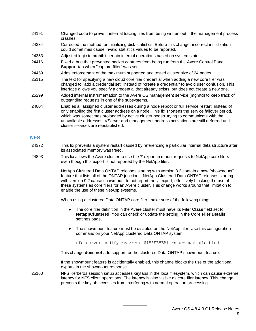- 24191 Changed code to prevent internal tracing files from being written out if the management process crashes.
- 24334 Corrected the method for initializing disk statistics. Before this change, incorrect initialization could sometimes cause invalid statistics values to be reported.
- 24353 Adjusted logic to prohibit certain internal operations based on system state.
- 24416 Fixed a bug that prevented packet captures from being run from the Avere Control Panel **Support** tab when "capture filter" was set.
- 24459 Adds enforcement of the maximum supported and tested cluster size of 24 nodes
- 25115 The text for specifying a new cloud core filer credential when adding a new core filer was changed to "add a credential set" instead of "create a credential" to avoid user confusion. This interface allows you specify a credential that already exists, but does not create a new one.
- 25299 Added internal instrumentation to the Avere OS management service (mgmtd) to keep track of outstanding requests in one of the subsystems.
- 24004 Enables all assigned cluster addresses during a node reboot or full service restart, instead of only enabling the first cluster address on a node. This fix shortens the service failover period, which was sometimes prolonged by active cluster nodes' trying to communicate with the unavailable addresses. VServer and management address activations are still deferred until cluster services are reestablished.

#### <span id="page-9-0"></span>**NFS**

- 24372 This fix prevents a system restart caused by referencing a particular internal data structure after its associated memory was freed.
- 24893 This fix allows the Avere cluster to use the '/' export in mount requests to NetApp core filers even though this export is not reported by the NetApp filer.

NetApp Clustered Data ONTAP releases starting with version 8.3 contain a new "showmount" feature that lists all of the ONTAP junctions. NetApp Clustered Data ONTAP releases starting with version 9.2 cause showmount to not report the  $\frac{1}{2}$  export, effectively blocking the use of these systems as core filers for an Avere cluster. This change works around that limitation to enable the use of these NetApp systems.

When using a clustered Data ONTAP core filer, make sure of the following things:

- The core filer definition in the Avere cluster must have its **Filer Class** field set to **NetappClustered**. You can check or update the setting in the **Core Filer Details** settings page.
- The showmount feature must be disabled on the NetApp filer. Use this configuration command on your NetApp clustered Data ONTAP system:

nfs server modify -vserver \${VSERVER} -showmount disabled

This change **does not** add support for the clustered Data ONTAP showmount feature.

If the showmount feature is accidentally enabled, this change blocks the use of the additional exports in the showmount response.

25160 NFS Kerberos session setup accesses keytabs in the local filesystem, which can cause extreme latency for NFS client operations. The latency is also visible as core filer latency. This change prevents the keytab accesses from interfering with normal operation processing.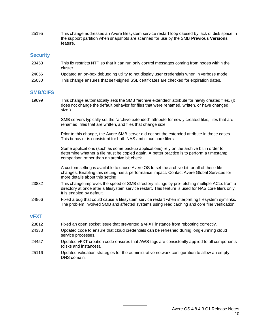25195 This change addresses an Avere filesystem service restart loop caused by lack of disk space in the support partition when snapshots are scanned for use by the SMB **Previous Versions** feature.

## <span id="page-10-0"></span>**Security**

- 23453 This fix restricts NTP so that it can run only control messages coming from nodes within the cluster.
- 24056 Updated an on-box debugging utility to not display user credentials when in verbose mode.
- <span id="page-10-1"></span>25030 This change ensures that self-signed SSL certificates are checked for expiration dates.

### **SMB/CIFS**

19699 This change automatically sets the SMB "archive extended" attribute for newly created files. (It does not change the default behavior for files that were renamed, written, or have changed size.)

> SMB servers typically set the "archive extended" attribute for newly created files, files that are renamed, files that are written, and files that change size.

Prior to this change, the Avere SMB server did not set the extended attribute in these cases. This behavior is consistent for both NAS and cloud core filers.

Some applications (such as some backup applications) rely on the archive bit in order to determine whether a file must be copied again. A better practice is to perform a timestamp comparison rather than an archive bit check.

A custom setting is available to cause Avere OS to set the archive bit for all of these file changes. Enabling this setting has a performance impact. Contact Avere Global Services for more details about this setting.

- 23882 This change improves the speed of SMB directory listings by pre-fetching multiple ACLs from a directory at once after a filesystem service restart. This feature is used for NAS core filers only. It is enabled by default.
- 24866 Fixed a bug that could cause a filesystem service restart when interpreting filesystem symlinks. The problem involved SMB and affected systems using read caching and core filer verification.

## <span id="page-10-2"></span>**vFXT**

- 23812 Fixed an open socket issue that prevented a vFXT instance from rebooting correctly.
- 24333 Updated code to ensure that cloud credentials can be refreshed during long-running cloud service processes.
- 24457 Updated vFXT creation code ensures that AWS tags are consistently applied to all components (disks and instances).
- <span id="page-10-3"></span>25116 Updated validation strategies for the administrative network configuration to allow an empty DNS domain.